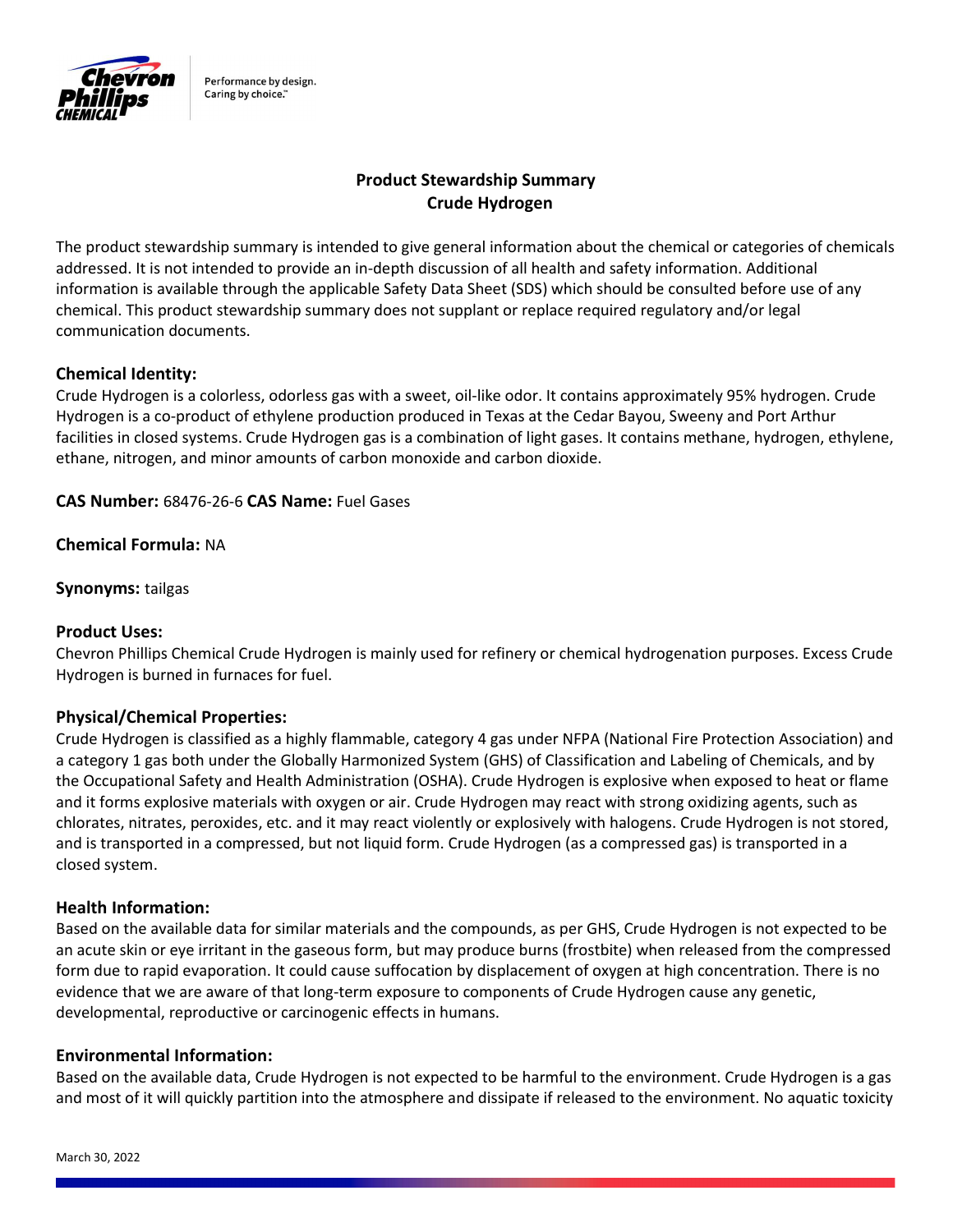

Performance by design. Caring by choice."

# Product Stewardship Summary Crude Hydrogen

The product stewardship summary is intended to give general information about the chemical or categories of chemicals addressed. It is not intended to provide an in-depth discussion of all health and safety information. Additional information is available through the applicable Safety Data Sheet (SDS) which should be consulted before use of any chemical. This product stewardship summary does not supplant or replace required regulatory and/or legal communication documents.

# Chemical Identity:

Crude Hydrogen is a colorless, odorless gas with a sweet, oil-like odor. It contains approximately 95% hydrogen. Crude Hydrogen is a co-product of ethylene production produced in Texas at the Cedar Bayou, Sweeny and Port Arthur facilities in closed systems. Crude Hydrogen gas is a combination of light gases. It contains methane, hydrogen, ethylene, ethane, nitrogen, and minor amounts of carbon monoxide and carbon dioxide.

CAS Number: 68476-26-6 CAS Name: Fuel Gases

Chemical Formula: NA

Synonyms: tailgas

### Product Uses:

Chevron Phillips Chemical Crude Hydrogen is mainly used for refinery or chemical hydrogenation purposes. Excess Crude Hydrogen is burned in furnaces for fuel.

### Physical/Chemical Properties:

Crude Hydrogen is classified as a highly flammable, category 4 gas under NFPA (National Fire Protection Association) and a category 1 gas both under the Globally Harmonized System (GHS) of Classification and Labeling of Chemicals, and by the Occupational Safety and Health Administration (OSHA). Crude Hydrogen is explosive when exposed to heat or flame and it forms explosive materials with oxygen or air. Crude Hydrogen may react with strong oxidizing agents, such as chlorates, nitrates, peroxides, etc. and it may react violently or explosively with halogens. Crude Hydrogen is not stored, and is transported in a compressed, but not liquid form. Crude Hydrogen (as a compressed gas) is transported in a closed system.

### Health Information:

Based on the available data for similar materials and the compounds, as per GHS, Crude Hydrogen is not expected to be an acute skin or eye irritant in the gaseous form, but may produce burns (frostbite) when released from the compressed form due to rapid evaporation. It could cause suffocation by displacement of oxygen at high concentration. There is no evidence that we are aware of that long-term exposure to components of Crude Hydrogen cause any genetic, developmental, reproductive or carcinogenic effects in humans.

### Environmental Information:

Based on the available data, Crude Hydrogen is not expected to be harmful to the environment. Crude Hydrogen is a gas and most of it will quickly partition into the atmosphere and dissipate if released to the environment. No aquatic toxicity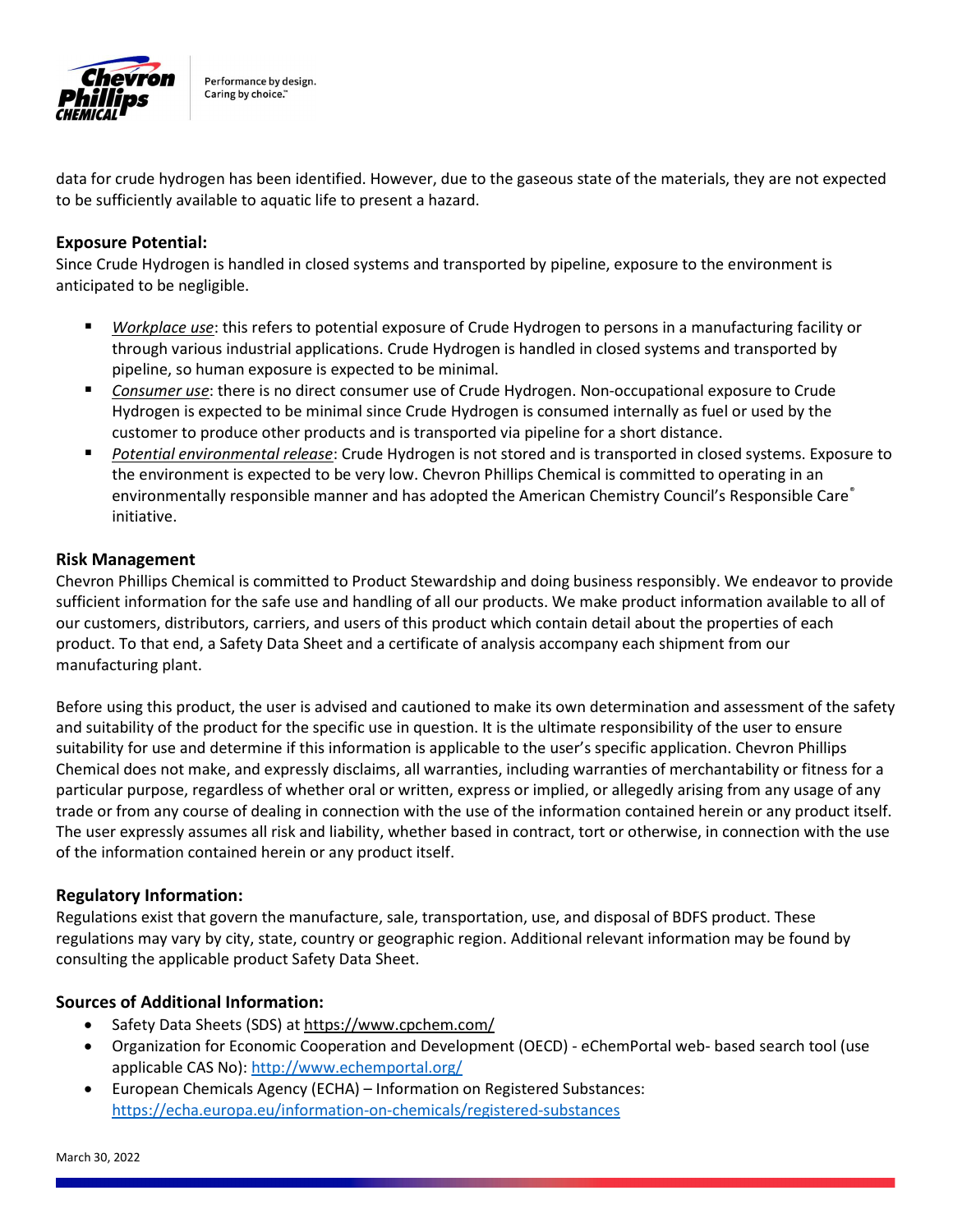

Performance by design. Caring by choice."

data for crude hydrogen has been identified. However, due to the gaseous state of the materials, they are not expected to be sufficiently available to aquatic life to present a hazard.

## Exposure Potential:

Since Crude Hydrogen is handled in closed systems and transported by pipeline, exposure to the environment is anticipated to be negligible.

- Workplace use: this refers to potential exposure of Crude Hydrogen to persons in a manufacturing facility or through various industrial applications. Crude Hydrogen is handled in closed systems and transported by pipeline, so human exposure is expected to be minimal.
- Consumer use: there is no direct consumer use of Crude Hydrogen. Non-occupational exposure to Crude Hydrogen is expected to be minimal since Crude Hydrogen is consumed internally as fuel or used by the customer to produce other products and is transported via pipeline for a short distance.
- Potential environmental release: Crude Hydrogen is not stored and is transported in closed systems. Exposure to the environment is expected to be very low. Chevron Phillips Chemical is committed to operating in an environmentally responsible manner and has adopted the American Chemistry Council's Responsible Care® initiative.

### Risk Management

Chevron Phillips Chemical is committed to Product Stewardship and doing business responsibly. We endeavor to provide sufficient information for the safe use and handling of all our products. We make product information available to all of our customers, distributors, carriers, and users of this product which contain detail about the properties of each product. To that end, a Safety Data Sheet and a certificate of analysis accompany each shipment from our manufacturing plant.

Before using this product, the user is advised and cautioned to make its own determination and assessment of the safety and suitability of the product for the specific use in question. It is the ultimate responsibility of the user to ensure suitability for use and determine if this information is applicable to the user's specific application. Chevron Phillips Chemical does not make, and expressly disclaims, all warranties, including warranties of merchantability or fitness for a particular purpose, regardless of whether oral or written, express or implied, or allegedly arising from any usage of any trade or from any course of dealing in connection with the use of the information contained herein or any product itself. The user expressly assumes all risk and liability, whether based in contract, tort or otherwise, in connection with the use of the information contained herein or any product itself.

### Regulatory Information:

Regulations exist that govern the manufacture, sale, transportation, use, and disposal of BDFS product. These regulations may vary by city, state, country or geographic region. Additional relevant information may be found by consulting the applicable product Safety Data Sheet.

### Sources of Additional Information:

- Safety Data Sheets (SDS) at https://www.cpchem.com/
- Organization for Economic Cooperation and Development (OECD) eChemPortal web- based search tool (use applicable CAS No): http://www.echemportal.org/
- European Chemicals Agency (ECHA) Information on Registered Substances: https://echa.europa.eu/information-on-chemicals/registered-substances